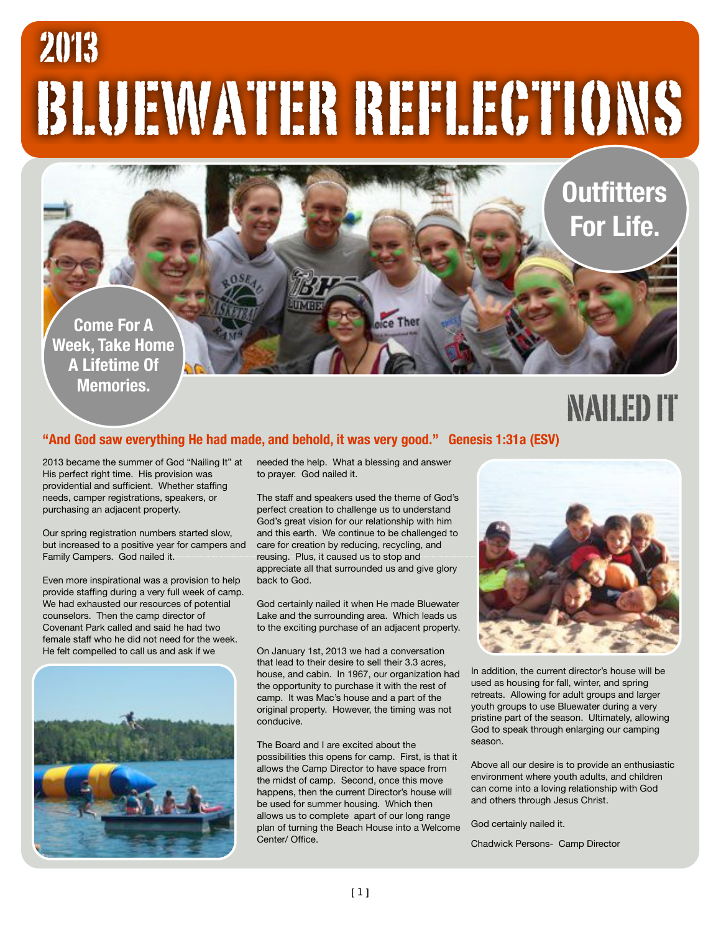# BLUEWATER REFLECTIONS 2013

**Come For A Week, Take Home A Lifetime Of Memories.**

### NAILED IT

**Outfitters** 

**For Life.**

#### **"And God saw everything He had made, and behold, it was very good." Genesis 1:31a (ESV)**

2013 became the summer of God "Nailing It" at His perfect right time. His provision was providential and sufficient. Whether staffing needs, camper registrations, speakers, or purchasing an adjacent property.

Our spring registration numbers started slow, but increased to a positive year for campers and Family Campers. God nailed it.

Even more inspirational was a provision to help provide staffing during a very full week of camp. We had exhausted our resources of potential counselors. Then the camp director of Covenant Park called and said he had two female staff who he did not need for the week. He felt compelled to call us and ask if we



needed the help. What a blessing and answer to prayer. God nailed it.

The staff and speakers used the theme of God's perfect creation to challenge us to understand God's great vision for our relationship with him and this earth. We continue to be challenged to care for creation by reducing, recycling, and reusing. Plus, it caused us to stop and appreciate all that surrounded us and give glory back to God.

God certainly nailed it when He made Bluewater Lake and the surrounding area. Which leads us to the exciting purchase of an adjacent property.

On January 1st, 2013 we had a conversation that lead to their desire to sell their 3.3 acres, house, and cabin. In 1967, our organization had the opportunity to purchase it with the rest of camp. It was Mac's house and a part of the original property. However, the timing was not conducive.

The Board and I are excited about the possibilities this opens for camp. First, is that it allows the Camp Director to have space from the midst of camp. Second, once this move happens, then the current Director's house will be used for summer housing. Which then allows us to complete apart of our long range plan of turning the Beach House into a Welcome Center/ Office.



In addition, the current director's house will be used as housing for fall, winter, and spring retreats. Allowing for adult groups and larger youth groups to use Bluewater during a very pristine part of the season. Ultimately, allowing God to speak through enlarging our camping season.

Above all our desire is to provide an enthusiastic environment where youth adults, and children can come into a loving relationship with God and others through Jesus Christ.

God certainly nailed it.

Chadwick Persons- Camp Director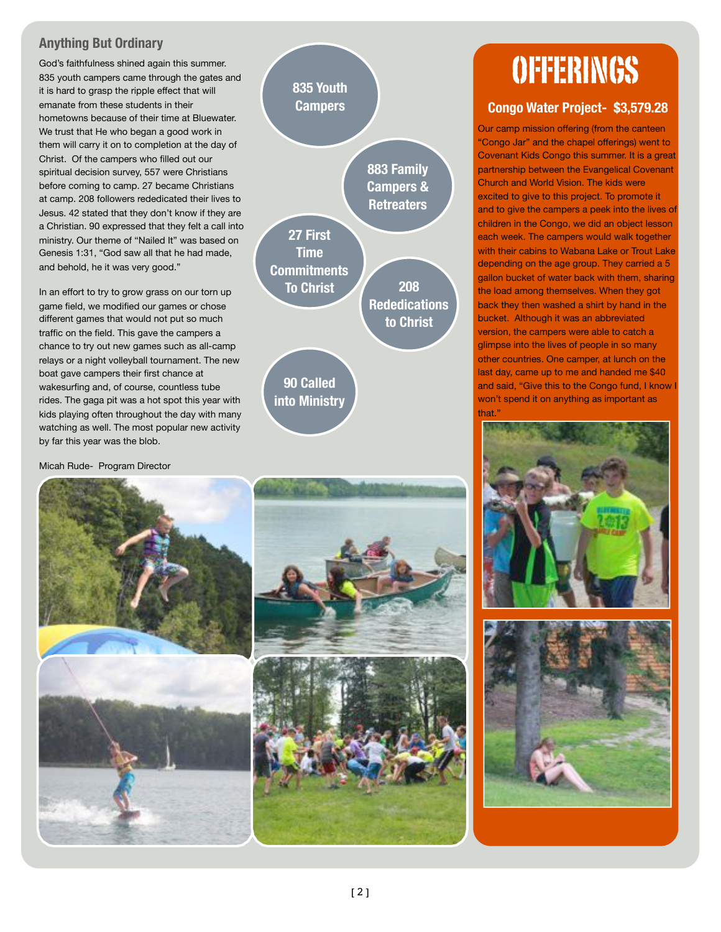#### **Anything But Ordinary**

God's faithfulness shined again this summer. 835 youth campers came through the gates and it is hard to grasp the ripple effect that will emanate from these students in their hometowns because of their time at Bluewater. We trust that He who began a good work in them will carry it on to completion at the day of Christ. Of the campers who filled out our spiritual decision survey, 557 were Christians before coming to camp. 27 became Christians at camp. 208 followers rededicated their lives to Jesus. 42 stated that they don't know if they are a Christian. 90 expressed that they felt a call into ministry. Our theme of "Nailed It" was based on Genesis 1:31, "God saw all that he had made, and behold, he it was very good."

In an effort to try to grow grass on our torn up game field, we modified our games or chose different games that would not put so much traffic on the field. This gave the campers a chance to try out new games such as all-camp relays or a night volleyball tournament. The new boat gave campers their first chance at wakesurfing and, of course, countless tube rides. The gaga pit was a hot spot this year with kids playing often throughout the day with many watching as well. The most popular new activity by far this year was the blob.

Micah Rude- Program Director



### **Congo Water Project- \$3,579.28**

Our camp mission offering (from the canteen "Congo Jar" and the chapel offerings) went to Covenant Kids Congo this summer. It is a great partnership between the Evangelical Covenant Church and World Vision. The kids were excited to give to this project. To promote it and to give the campers a peek into the lives of children in the Congo, we did an object lesson each week. The campers would walk together with their cabins to Wabana Lake or Trout Lake depending on the age group. They carried a 5 gallon bucket of water back with them, sharing the load among themselves. When they got back they then washed a shirt by hand in the bucket. Although it was an abbreviated version, the campers were able to catch a glimpse into the lives of people in so many other countries. One camper, at lunch on the last day, came up to me and handed me \$40 and said, "Give this to the Congo fund, I know I won't spend it on anything as important as that."





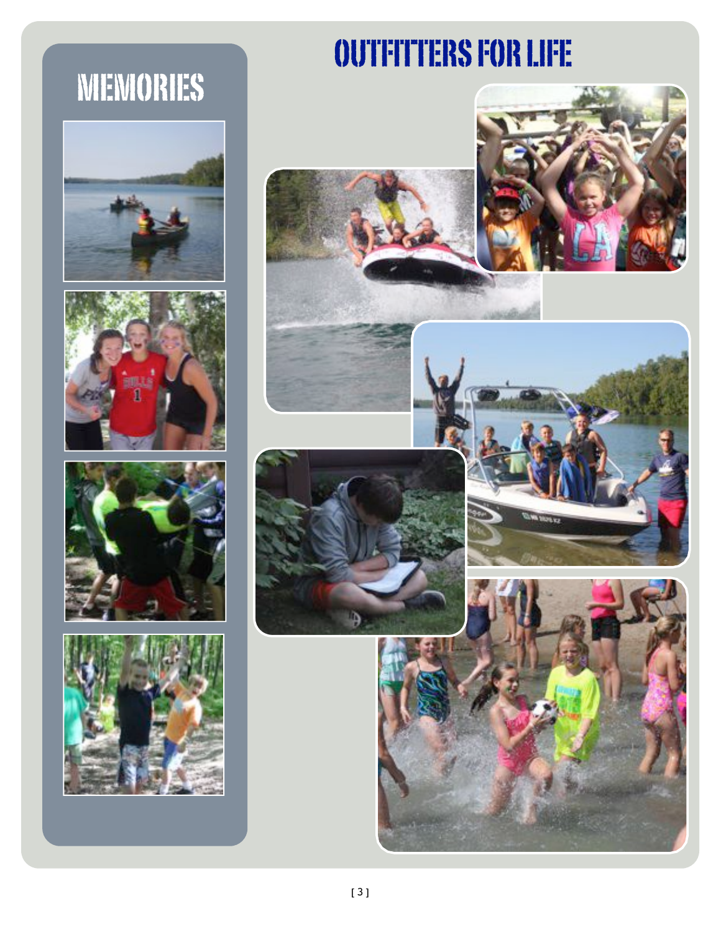## MEMORIES









## OUTFITTERS FOR LIFE